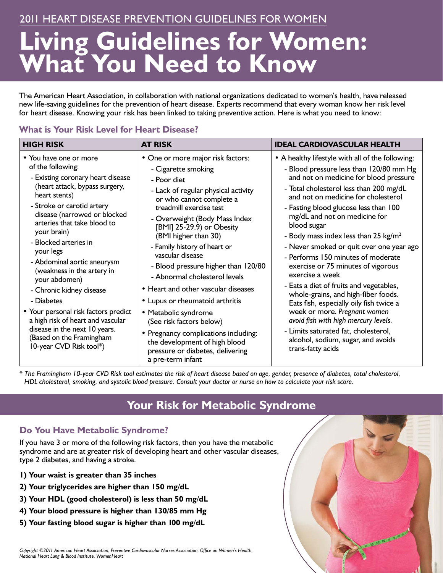### 2011 Heart Disease Prevention Guidelines for women

# **Living Guidelines for Women: What You Need to Know**

The American Heart Association, in collaboration with national organizations dedicated to women's health, have released new life-saving guidelines for the prevention of heart disease. Experts recommend that every woman know her risk level for heart disease. Knowing your risk has been linked to taking preventive action. Here is what you need to know:

#### **What is Your Risk Level for Heart Disease?**

| <b>HIGH RISK</b>                                                                                                                                                                                                                                                                                                                                                                                              | <b>AT RISK</b>                                                                                                                                                                                                                                                                                                                                                                                                                                                    | <b>IDEAL CARDIOVASCULAR HEALTH</b>                                                                                                                                                                                                                                                                                                                                                                                                                                                                                                                                                                                                  |
|---------------------------------------------------------------------------------------------------------------------------------------------------------------------------------------------------------------------------------------------------------------------------------------------------------------------------------------------------------------------------------------------------------------|-------------------------------------------------------------------------------------------------------------------------------------------------------------------------------------------------------------------------------------------------------------------------------------------------------------------------------------------------------------------------------------------------------------------------------------------------------------------|-------------------------------------------------------------------------------------------------------------------------------------------------------------------------------------------------------------------------------------------------------------------------------------------------------------------------------------------------------------------------------------------------------------------------------------------------------------------------------------------------------------------------------------------------------------------------------------------------------------------------------------|
| • You have one or more<br>of the following:<br>- Existing coronary heart disease<br>(heart attack, bypass surgery,<br>heart stents)<br>- Stroke or carotid artery<br>disease (narrowed or blocked<br>arteries that take blood to<br>your brain)<br>- Blocked arteries in<br>your legs<br>- Abdominal aortic aneurysm<br>(weakness in the artery in<br>your abdomen)<br>- Chronic kidney disease<br>- Diabetes | • One or more major risk factors:<br>- Cigarette smoking<br>- Poor diet<br>- Lack of regular physical activity<br>or who cannot complete a<br>treadmill exercise test<br>- Overweight (Body Mass Index<br>[BMI] 25-29.9) or Obesity<br>(BMI higher than 30)<br>- Family history of heart or<br>vascular disease<br>- Blood pressure higher than 120/80<br>- Abnormal cholesterol levels<br>• Heart and other vascular diseases<br>• Lupus or rheumatoid arthritis | • A healthy lifestyle with all of the following:<br>- Blood pressure less than 120/80 mm Hg<br>and not on medicine for blood pressure<br>- Total cholesterol less than 200 mg/dL<br>and not on medicine for cholesterol<br>- Fasting blood glucose less than 100<br>mg/dL and not on medicine for<br>blood sugar<br>- Body mass index less than 25 $kg/m^2$<br>- Never smoked or quit over one year ago<br>- Performs 150 minutes of moderate<br>exercise or 75 minutes of vigorous<br>exercise a week<br>- Eats a diet of fruits and vegetables,<br>whole-grains, and high-fiber foods.<br>Eats fish, especially oily fish twice a |
| • Your personal risk factors predict<br>a high risk of heart and vascular<br>disease in the next 10 years.<br>(Based on the Framingham<br>10-year CVD Risk tool*)                                                                                                                                                                                                                                             | • Metabolic syndrome<br>(See risk factors below)<br>• Pregnancy complications including:<br>the development of high blood<br>pressure or diabetes, delivering<br>a pre-term infant                                                                                                                                                                                                                                                                                | week or more. Pregnant women<br>avoid fish with high mercury levels.<br>- Limits saturated fat, cholesterol,<br>alcohol, sodium, sugar, and avoids<br>trans-fatty acids                                                                                                                                                                                                                                                                                                                                                                                                                                                             |

*\* The Framingham 10-year CVD Risk tool estimates the risk of heart disease based on age, gender, presence of diabetes, total cholesterol, HDL cholesterol, smoking, and systolic blood pressure. Consult your doctor or nurse on how to calculate your risk score.* 

## **Your Risk for Metabolic Syndrome**

AT ... IT ... IT ... IT ... IT ...

#### **Do You Have Metabolic Syndrome?**

If you have 3 or more of the following risk factors, then you have the metabolic syndrome and are at greater risk of developing heart and other vascular diseases, type 2 diabetes, and having a stroke.

- **1) Your waist is greater than 35 inches**
- **2) Your triglycerides are higher than 150 mg/dL**
- **3) Your HDL (good cholesterol) is less than 50 mg/dL**
- **4) Your blood pressure is higher than 130/85 mm Hg**
- **5) Your fasting blood sugar is higher than 100 mg/dL**

*Copyright ©2011 American Heart Association, Preventive Cardiovascular Nurses Association, Office on Women's Health, National Heart Lung & Blood Institute, WomenHeart*